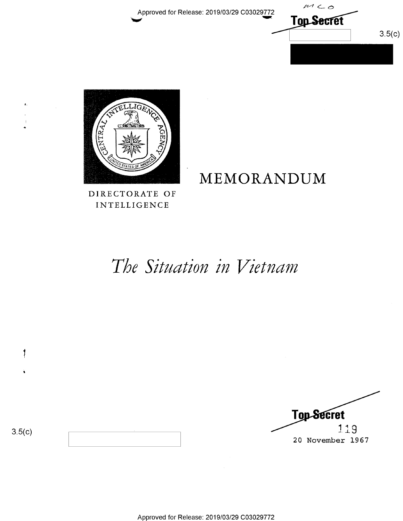Approved for Release: 2019/03/29 C03029772

 $M\subset\phi$ **Top Secret**  $3.5(c)$ 



DIRECTORATE OF INTELLIGENCE

# MEMORANDUM

The Situation in Vietnam

**Top-Secret** 119 20 November 1967

 $3.5(c)$ 

 $\ddagger$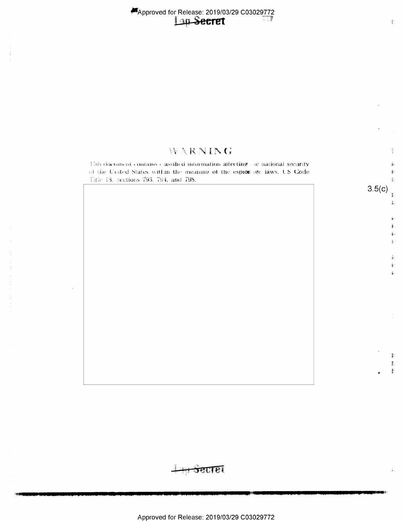# WARNING

This document contains classified information affecting one national security of the United States within the meaning of the espiorage laws, US Code Title 13, Sections 793, 794, and 798.

 $3.5(c)$ 

毫

Ť.  $\widetilde{\Phi}^+_{\alpha}$ 

ě.

ţ.

薪 勡  $\mathbb{F}$ 

<del>ञ</del>्कास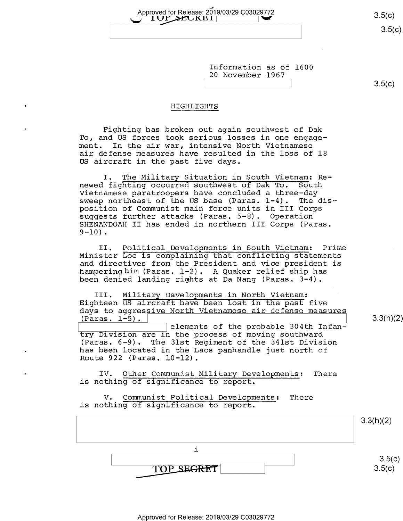$3.5(c)$ 

 $\tilde{z}$ Approved for Release: 2019/03/29 C03029772 3.5(c)

> Information as of 1600 20 November 1967

 $\qquad \qquad \Box(\cup)$ 

#### HIGHLIGHTS

Fighting has broken out again southwest of Dak To, and US forces took serious losses in one engagement. In the air war, intensive North Vietnamese air defense measures have resulted in the loss of 18 US aircraft in the past five days.

I. The Military Situation in South Vietnam: Renewed fighting occurred southwest of Dak To. South Vietnamese paratroopers have concluded a three—day sweep northeast of the US base (Paras. 1-4). The disposition of Communist main force units in III Corps suggests further attacks (Paras. 5-8). Operation SHENANDOAH II has ended in northern III Corps (Paras.  $9-10$ ).

II. Political Developments in South Vietnam: Prime Minister Loc is complaining that conflicting statements and directives from the President and vice president is hampering him (Paras. 1-2). A Quaker relief ship has been denied landing rights at Da Nang (Paras. 3-4).

III. Military Developments in North Vietnam: Eighteen US aircraft have been lost in the past five days to aggressive North Vietnamese air defense measures  $(Paras. 1-5).$   $(3.3(h)(2))$ 

elements of the probable 304th Infantry Division are in the process of moving southward (Paras. 6-9). The 31st Regiment of the 341st Division has been located in the Laos panhandle just north of Route 922 (Paras. l0-12).

IV. Other Communist Military Developments: There is nothing of significance to report.

V. Communist Political Developments: There is nothing of significance to report.

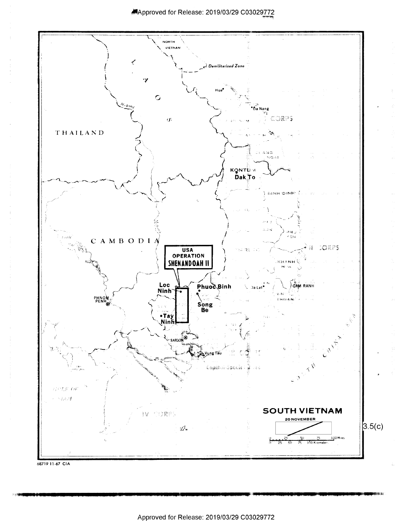

<sup>68719 11-67</sup> CIA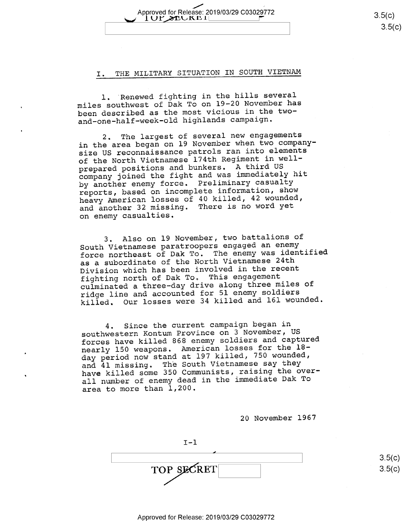### I. THE MILITARY SITUATION IN SOUTH VIETNAM

Approved for Release: 2019/03/29 C03029772<br>  $\begin{array}{c} 3.5(c) \\ \hline \end{array}$ 

l. 'Renewed fighting in the hills several miles southwest of Dak To on l9—20 November has been described as the most vicious in the twoand—one-half-week-old highlands campaign.

2. The largest of several new engagements in the area began on 19 November when two companysize US reconnaissance patrols ran into elements of the North Vietnamese 174th Regiment in wellprepared positions and bunkers. A third US company joined the fight and was immediately hit by another enemy force. Preliminary casualty reports, based on incomplete information, show heavy American losses of 40 killed, 42 wounded, and another 32 missing. There is no word yet on enemy casualties.

3. Also on 19 November, two battalions of South Vietnamese paratroopers engaged an enemy force northeast of Dak To. The enemy was identified as a subordinate of the North Vietnamese 24th Division which has been involved in the recent fighting north of Dak To. This engagement culminated a three—day drive along three miles of ridge line and accounted for 51 enemy soldiers killed. Our losses were 34 killed and 161 wounded.

4. Since the current campaign began in southwestern Kontum Province on 3 November, US forces have killed 868 enemy soldiers and captured nearly 150 weapons. American losses for the 18day period now stand at 197 killed, 750 wounded, and 4l missing. The South Vietnamese say they have killed some 350 Communists, raising the overall number of enemy dead in the immediate Dak To area to more than 1,200.

20 November 1967

 $I-1$  $\overline{\phantom{a}}$  $\text{TOP}$  SECRET  $\boxed{\qquad}$  3.5(

 $3.5(c)$  $\overline{\rm (c)}$ 

 $3.5(c)$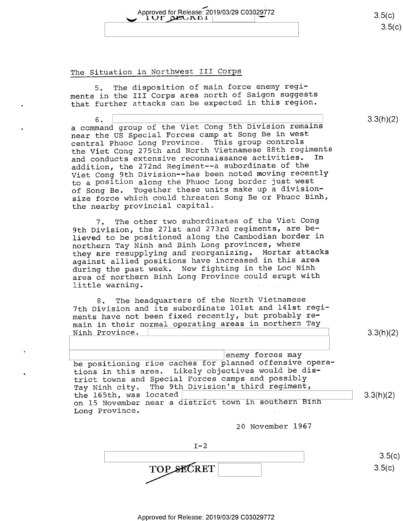## Approved for Release: 2019/03/29 C03029772<br>  $\begin{array}{c|c} 1 \textbf{UT} & \textbf{A} \end{array}$  $101$  DEUKEI

 $3.5(c)$  $3.5(c)$ 

3.3(h)(2)

#### The Situation in Northwest III Corps

5. The disposition of main force enemy regiments in the III Corps area north of Saigon suggests that further attacks can be expected in this region.

 $6. \begin{array}{c} \textcolor{red}{\mathbf{6}} \ \textcolor{red}{\mathbf{5}} \ \textcolor{red}{\mathbf{5}} \ \textcolor{red}{\mathbf{6}} \ \textcolor{red}{\mathbf{6}} \ \textcolor{red}{\mathbf{6}} \ \textcolor{red}{\mathbf{7}} \ \textcolor{red}{\mathbf{8}} \ \textcolor{red}{\mathbf{8}} \ \textcolor{red}{\mathbf{9}} \ \textcolor{red}{\mathbf{1}} \ \textcolor{red}{\mathbf{1}} \ \textcolor{red}{\mathbf{1}} \ \textcolor{red}{\mathbf{1}} \ \textcolor{red}{\mathbf{1}} \ \textcolor{red}{\mathbf{1}} \ \textcolor$ a command group of the Viet Cong 5th Division remains near the US Special Forces camp at Song Be in west central Phuoc Long Province. This group controls the Viet Cong 275th and North Vietnamese 88th regiments<br>and Conducts extensive reconnaissance activities. In and conducts extensive reconnaissance activities. addition, the 272nd Regiment—-a subordinate of the Viet Cong 9th Division--has been noted moving recently to a P0SitiOn along the Phuoc Long border just west of Song Be. Together these units make up a divisionsize force which could threaten Song Be or Phuoc Binh, the nearby provincial capital.

7. The other two subordinates of the Viet Cong 9th Division, the 271st and 273rd regiments, are believed to be positioned along the Cambodian border in northern Tay Ninh and Binh Long provinces, where they are resupplying and reorganizing. Mortar attacks against allied positions have increased in this area during the past week. New fighting in the Loc Ninh area of northern Binh Long Province could erupt with little warning.

8. The headquarters of the North Vietnamese 7th Division and its subordinate l0lst and l4lst regiments have not been fixed recently, but probably re-Ninh Province. \ main in their normal operating areas in northern Tay

3.3(h)(2)

enemy forces may be positioning rice caches for planned offensive operations in this area. Likely objectives would be district towns and Special Forces camps and possibly Tay Ninh city. The 9th Division's third regiment,<br>the 165th, was located | the 165th, was located\ \ 3-3(h)(2) on l5 November near a district town in southern Binh Long Province.

20 November 1967

 $I-2$ TOP SECRET  $3.5(c)$  $3.5(c)$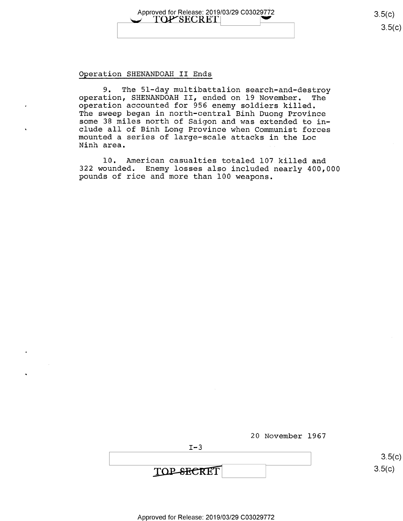Approved for Release: 2019/03/29 C03029772 3.5(C)<br>
TOP'SECRET\

<u>၁.၁</u>(C)

#### Operation SHENANDOAH II Ends

9. The 51-day multibattalion search-and-destroy operation, SHENANDOAH II, ended on 19 November. The operation accounted for 956 enemy soldiers killed. The sweep began in north-central Binh Duong Province some 38 miles north of Saigon and was extended to in-<br>clude all of Binh Long Province when Communist forces mounted a series of large-scale attacks in the Loc Ninh area.

10. American casualties totaled 107 killed and <sup>322</sup>wounded. Enemy losses also included nearly 400,000 pounds of rice and more than 100 weapons.

|            | 20 November 1967 |        |
|------------|------------------|--------|
| $T - 3$    |                  |        |
|            |                  | 3.5(c) |
| TOP-SECRET |                  | 3.5(c) |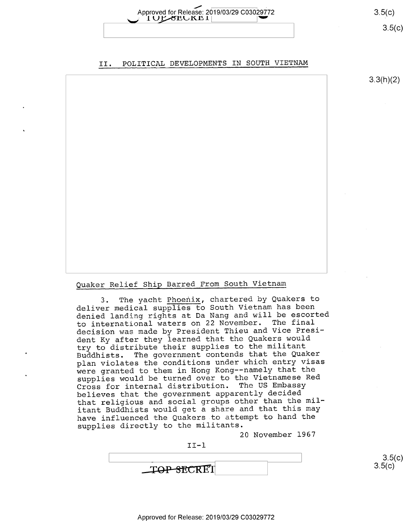Approved for Release: 2019/03/29 C03029772

II. POLITICAL DEVELOPMENTS IN SOUTH VIETNAM

 $3.3(h)(2)$ 

 $3.5(c)$  $3.5(c)$ 

 $3.5(c)$ 

 $3.5(c)$ 

#### Quaker Relief Ship Barred From South Vietnam

3. The yacht Phoenix, chartered by Quakers to deliver medical supplies to South Vietnam has been denied landing rights at Da Nang and will be escorted to international waters on 22 November. The final decision was made by President Thieu and Vice President Ky after they learned that the Quakers would try to distribute their supplies to the militant<br>Buddhists. The government contends that the Qual The government contends that the Quaker plan violates the conditions under which entry visas were granted to them in Hong Kong-—namely that the supplies would be turned over to the Vietnamese Red Cross for internal distribution. The US Embassy believes that the government apparently decided that religious and social groups other than the militant Buddhists would get a share and that this may have influenced the Quakers to attempt to hand the supplies directly to the militants.

20 November l967

 $II-1$ 

**TOP-SECRET**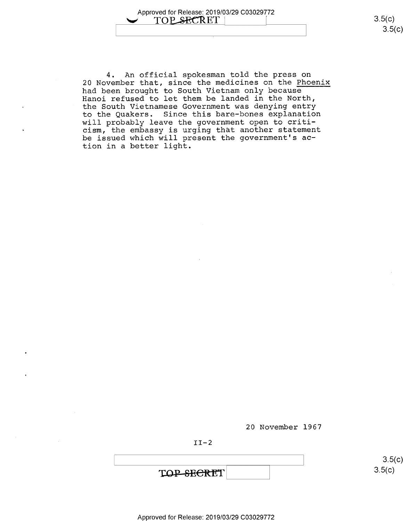4. An official spokesman told the press on 20 November that, since the medicines on the Phoenix had been brought to South Vietnam only because Hanoi refused to let them be landed in the North, the South Vietnamese Government was denying entry to the Quakers. Since this bare-bones explanation will probably leave the government open to criticism, the embassy is urging that another statement be issued which will present the government's action in a better light.

20 November 1967

 $II-2$ 

\ \ s.5(¢)  $\text{TOP-SEERET}$  3.5(c)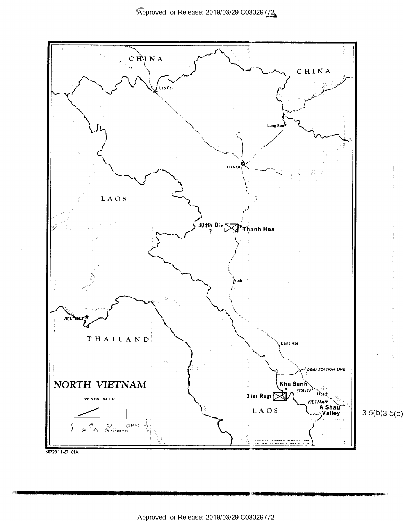

 $3.5(b)3.5(c)$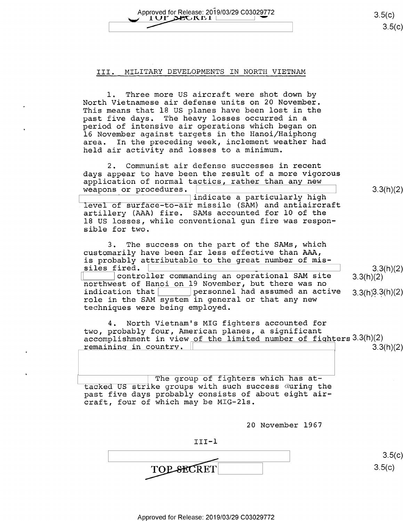Approved for Release" 2019/03/29 C03029772 av 1 ur,c>z(,1u'u — 3-5(6) Approved for Release: 2019/03/29 C03029772 3.5(c)<br>
3.5(c)<br>
3.5(c)

#### III. MILITARY DEVELOPMENTS IN NORTH VIETNAM

l. Three more US aircraft were shot down by North Vietnamese air defense units on 20 November. This means that 18 US planes have been lost in the past five days. The heavy losses occurred in a period of intensive air operations which began on l6 November against targets in the Hanoi/Haiphong area. In the preceding week, inclement weather had held air activity and losses to a minimum.

2. Communist air defense successes in recent days appear to have been the result of a more vigorous application of normal tactics, rather than any new weapons or procedures.

 $\frac{1}{\text{indicate a particularly high}}$  3.3(h)(2) level of surface—to-air missile (SAM) and antiaircraft artillery (AAA) fire. SAMs accounted for 10 of the 18 US losses, while conventional gun fire was responsible for two.

3. The success on the part of the SAMs, which customarily have been far less effective than AAA,

is probably attributable to the great number of mis-<br>siles fired.  $\boxed{\qquad \qquad}$  controller commanding an operational SAM site 3.3(h)(2)<br>northwest of Hanoi on 19 November, but there was no<br>indication that  $\boxed{\qquad \qquad}$  personn role in the SAM system in general or that any new techniques were being employed.

4. North Vietnam's MIG fighters accounted for two, probably four, American planes, a significant accomplishment in view of the limited number of fighters  $3.3(h)(2)$ remaining in country.  $3.3(h)(2)$ 

The group of fighters which has attacked US strike groups with such success during the past five days probably consists of about eight aircraft, four of which may be MIG-21s.

20 November 1967

III-l

 $\overline{\mathbf{C}^{\mathbf{T}}}$   $\overline{\mathbf{S}^{\mathbf{T}}}$   $\overline{\mathbf{S}^{\mathbf{T}}}$   $\overline{\mathbf{S}^{\mathbf{T}}}$   $\overline{\mathbf{S}^{\mathbf{T}}}$   $\overline{\mathbf{S}^{\mathbf{T}}}$   $\overline{\mathbf{S}^{\mathbf{T}}}$   $\overline{\mathbf{S}^{\mathbf{T}}}$   $\overline{\mathbf{S}^{\mathbf{T}}}$   $\overline{\mathbf{S}^{\mathbf{T}}}$   $\overline{\mathbf{S}^{\mathbf{T}}}$   $\overline{\mathbf{S}^{\mathbf{T}}}$   $\overline{\$  $TOP$ -SECRET  $3.5(c)$ 

 $3.3(h)(2)$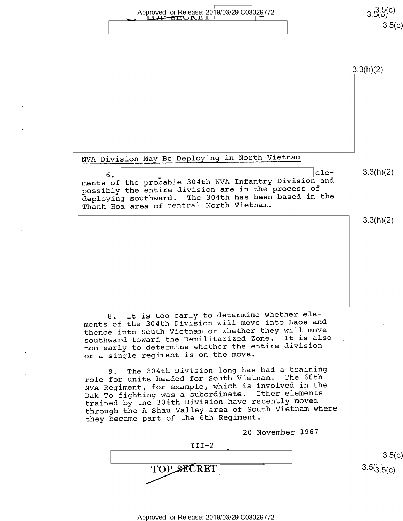Approved for Release: 2019/03/29 C03029772 3.5(c)  $3.5(5)$ 

 $3.5(c)$ 

|                                                                                                                                                                                                                               | 3.3(h)(2) |
|-------------------------------------------------------------------------------------------------------------------------------------------------------------------------------------------------------------------------------|-----------|
|                                                                                                                                                                                                                               |           |
|                                                                                                                                                                                                                               |           |
|                                                                                                                                                                                                                               |           |
| NVA Division May Be Deploying in North Vietnam                                                                                                                                                                                |           |
| ele-<br>6.<br>ments of the probable 304th NVA Infantry Division and<br>possibly the entire division are in the process of<br>deploying southward. The 304th has been based in the<br>Thanh Hoa area of central North Vietnam. | 3.3(h)(2) |
|                                                                                                                                                                                                                               | 3.3(h)(2) |
|                                                                                                                                                                                                                               |           |
|                                                                                                                                                                                                                               |           |
|                                                                                                                                                                                                                               |           |
|                                                                                                                                                                                                                               |           |
| It is too early to determine whether ele-<br>8.                                                                                                                                                                               |           |

8. It is too early to determine whether elements of the 304th Division will move into Laos and thence into South Vietnam or whether they will move southward toward the Demilitarized Zone. It is also too early to determine whether the entire division or a single regiment is on the move.

9. The 304th Division long has had a training<br>for units headed for South Vietnam. The 66th role for units headed for South Vietnam. NVA Regiment, for example, which is involved in the Dak To fighting was a subordinate, Other elements trained by the 304th Division have recently moved through the A Shau Valley area of South Vietnam where they became part of the 6th Regiment.

20 November 1967

 $III-2$  $\overline{\phantom{a}}$  . The contract of the contract of the contract of the contract of the contract of the contract of the contract of the contract of the contract of the contract of the contract of the contract of the contract of  $3.5(c)$ <br> $3.5(\frac{1}{3.5(c)})$ TOP SECRET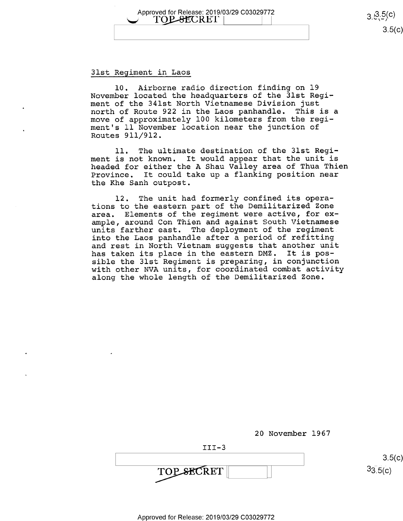Approved for Release: 2019/03/29 C03029772  $\overline{O} = 3.35(0)$ 

#### 31st Regiment in Laos

10. Airborne radio direction finding on l9 November located the headquarters of the 31st Regiment of the 341st North Vietnamese Division just north of Route 922 in the Laos panhandle. This is a move of approximately 100 kilometers from the regiment's ll November location near the junction of Routes 911/912.

ll. The ultimate destination of the 31st Regiment is not known. It would appear that the unit is headed for either the A Shau Valley area of Thua Thien Province. It could take up a flanking position near the Khe Sanh outpost.

l2. The unit had formerly confined its operations to the eastern part of the Demilitarized Zone area. Elements of the regiment were active, for example, around Con Thien and against South Vietnamese units farther east. The deployment of the regiment into the Laos panhandle after a period of refitting and rest in North Vietnam suggests that another unit has taken its place in the eastern DMZ. It is possible the 3lst Regiment is preparing, in conjunction with other NVA units, for coordinated combat activity along the whole length of the Demilitarized Zone.

20 November 1967

 $3.5(c)$  $33.5(c)$ 

 $3.5(c)$ 

**TOP SECRET** 

III—3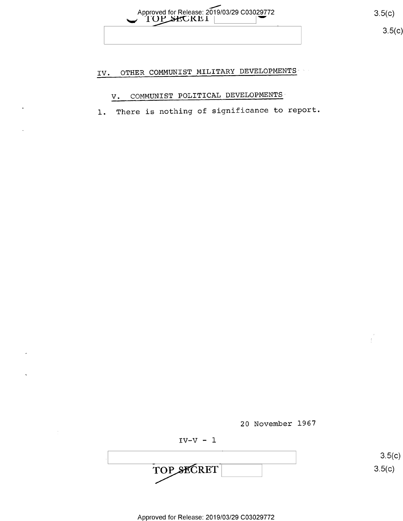

 $3.5(c)$ 

# IV. OTHER COMMUNIST MILITARY DEVELOPMENTS

# V. COMMUNIST POLITICAL DEVELOPMENTS

1. There is nothing of significance to report.



 $IV-V - 1$  $\begin{array}{|c|c|c|}\n\hline\n\text{TOP} & \text{SECTION} & \text{S.5(c)} \\
\hline\n\end{array}$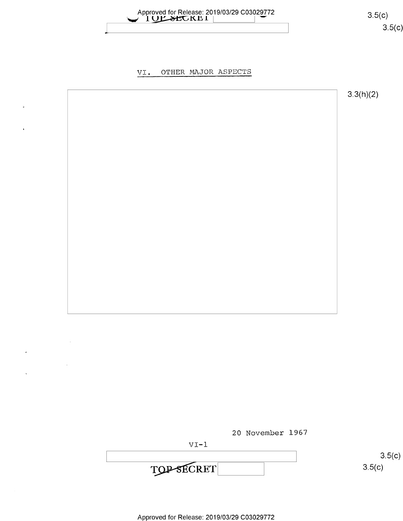

 $3.5(c)$ 

#### OTHER MAJOR ASPECTS VI.





Approved for Release: 2019/03/29 C03029772

 $\mathbf{z}$